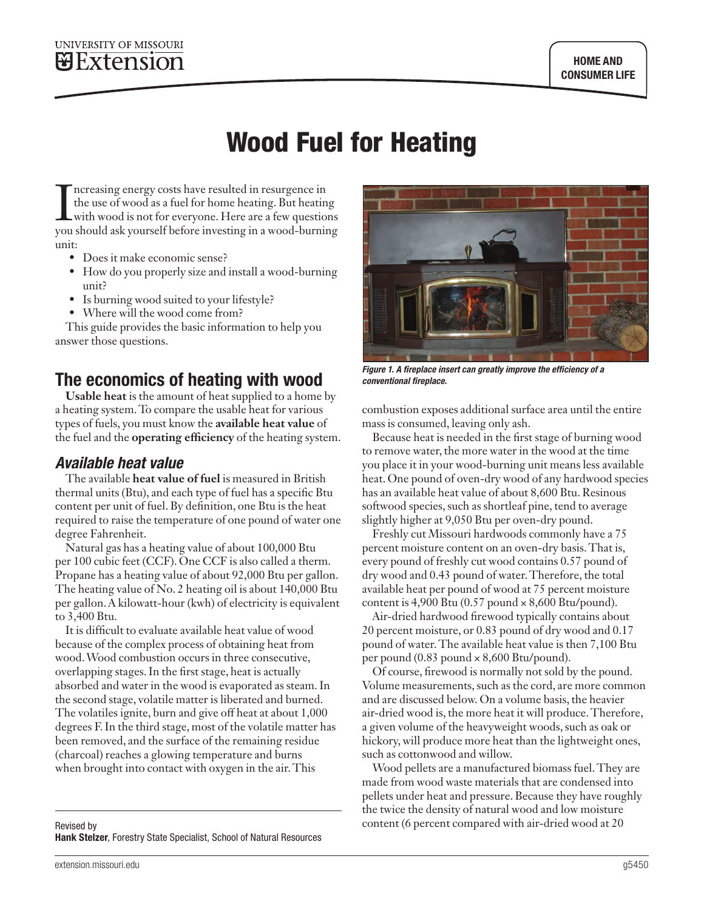# Wood Fuel for Heating

Increasing energy costs have resulted in resurgence in<br>the use of wood as a fuel for home heating. But heating<br>with wood is not for everyone. Here are a few questions<br>you should ask yourself before investing in a wood-burn ncreasing energy costs have resulted in resurgence in the use of wood as a fuel for home heating. But heating with wood is not for everyone. Here are a few questions unit:

- Does it make economic sense?
- How do you properly size and install a wood-burning unit?
- Is burning wood suited to your lifestyle?
- Where will the wood come from?

This guide provides the basic information to help you answer those questions.

## The economics of heating with wood

**Usable heat** is the amount of heat supplied to a home by a heating system. To compare the usable heat for various types of fuels, you must know the **available heat value** of the fuel and the **operating efficiency** of the heating system.

#### *Available heat value*

The available **heat value of fuel** is measured in British thermal units (Btu), and each type of fuel has a specific Btu content per unit of fuel. By definition, one Btu is the heat required to raise the temperature of one pound of water one degree Fahrenheit.

Natural gas has a heating value of about 100,000 Btu per 100 cubic feet (CCF). One CCF is also called a therm. Propane has a heating value of about 92,000 Btu per gallon. The heating value of No. 2 heating oil is about 140,000 Btu per gallon. A kilowatt-hour (kwh) of electricity is equivalent to 3,400 Btu.

It is difficult to evaluate available heat value of wood because of the complex process of obtaining heat from wood. Wood combustion occurs in three consecutive, overlapping stages. In the first stage, heat is actually absorbed and water in the wood is evaporated as steam. In the second stage, volatile matter is liberated and burned. The volatiles ignite, burn and give off heat at about 1,000 degrees F. In the third stage, most of the volatile matter has been removed, and the surface of the remaining residue (charcoal) reaches a glowing temperature and burns when brought into contact with oxygen in the air. This



*Figure 1. A fireplace insert can greatly improve the efficiency of a conventional fireplace.*

combustion exposes additional surface area until the entire mass is consumed, leaving only ash.

Because heat is needed in the first stage of burning wood to remove water, the more water in the wood at the time you place it in your wood-burning unit means less available heat. One pound of oven-dry wood of any hardwood species has an available heat value of about 8,600 Btu. Resinous softwood species, such as shortleaf pine, tend to average slightly higher at 9,050 Btu per oven-dry pound.

Freshly cut Missouri hardwoods commonly have a 75 percent moisture content on an oven-dry basis. That is, every pound of freshly cut wood contains 0.57 pound of dry wood and 0.43 pound of water. Therefore, the total available heat per pound of wood at 75 percent moisture content is 4,900 Btu  $(0.57$  pound  $\times 8,600$  Btu/pound).

Air-dried hardwood firewood typically contains about 20 percent moisture, or 0.83 pound of dry wood and 0.17 pound of water. The available heat value is then 7,100 Btu per pound  $(0.83$  pound  $\times 8,600$  Btu/pound).

Of course, firewood is normally not sold by the pound. Volume measurements, such as the cord, are more common and are discussed below. On a volume basis, the heavier air-dried wood is, the more heat it will produce. Therefore, a given volume of the heavyweight woods, such as oak or hickory, will produce more heat than the lightweight ones, such as cottonwood and willow.

Wood pellets are a manufactured biomass fuel. They are made from wood waste materials that are condensed into pellets under heat and pressure. Because they have roughly the twice the density of natural wood and low moisture content (6 percent compared with air-dried wood at 20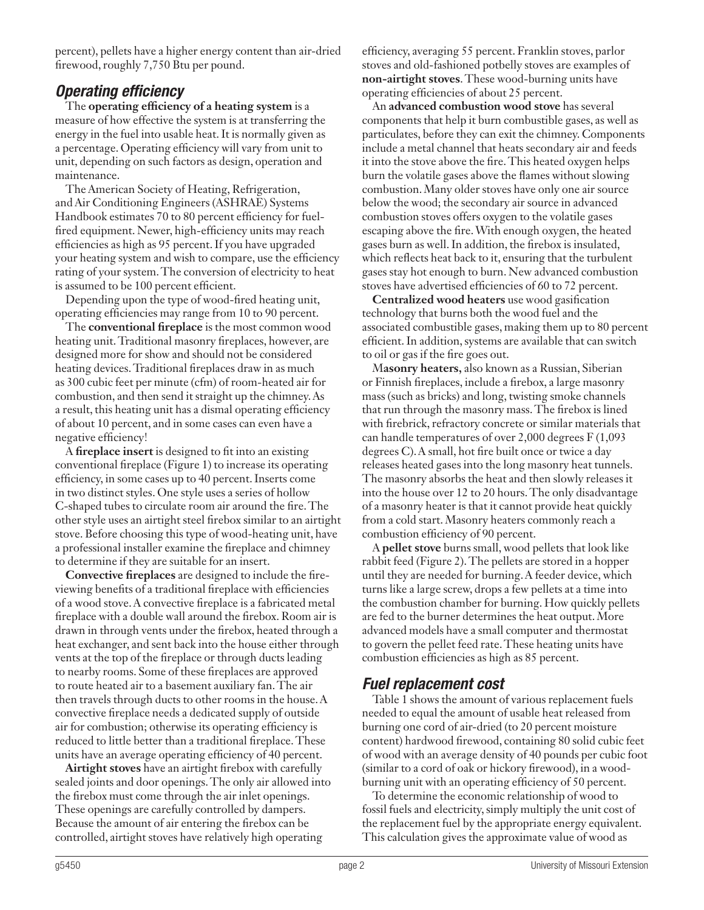percent), pellets have a higher energy content than air-dried firewood, roughly 7,750 Btu per pound.

#### *Operating efficiency*

The **operating efficiency of a heating system** is a measure of how effective the system is at transferring the energy in the fuel into usable heat. It is normally given as a percentage. Operating efficiency will vary from unit to unit, depending on such factors as design, operation and maintenance.

The American Society of Heating, Refrigeration, and Air Conditioning Engineers (ASHRAE) Systems Handbook estimates 70 to 80 percent efficiency for fuelfired equipment. Newer, high-efficiency units may reach efficiencies as high as 95 percent. If you have upgraded your heating system and wish to compare, use the efficiency rating of your system. The conversion of electricity to heat is assumed to be 100 percent efficient.

Depending upon the type of wood-fired heating unit, operating efficiencies may range from 10 to 90 percent.

The **conventional fireplace** is the most common wood heating unit. Traditional masonry fireplaces, however, are designed more for show and should not be considered heating devices. Traditional fireplaces draw in as much as 300 cubic feet per minute (cfm) of room-heated air for combustion, and then send it straight up the chimney. As a result, this heating unit has a dismal operating efficiency of about 10 percent, and in some cases can even have a negative efficiency!

A **fireplace insert** is designed to fit into an existing conventional fireplace (Figure 1) to increase its operating efficiency, in some cases up to 40 percent. Inserts come in two distinct styles. One style uses a series of hollow C-shaped tubes to circulate room air around the fire. The other style uses an airtight steel firebox similar to an airtight stove. Before choosing this type of wood-heating unit, have a professional installer examine the fireplace and chimney to determine if they are suitable for an insert.

**Convective fireplaces** are designed to include the fireviewing benefits of a traditional fireplace with efficiencies of a wood stove. A convective fireplace is a fabricated metal fireplace with a double wall around the firebox. Room air is drawn in through vents under the firebox, heated through a heat exchanger, and sent back into the house either through vents at the top of the fireplace or through ducts leading to nearby rooms. Some of these fireplaces are approved to route heated air to a basement auxiliary fan. The air then travels through ducts to other rooms in the house. A convective fireplace needs a dedicated supply of outside air for combustion; otherwise its operating efficiency is reduced to little better than a traditional fireplace. These units have an average operating efficiency of 40 percent.

**Airtight stoves** have an airtight firebox with carefully sealed joints and door openings. The only air allowed into the firebox must come through the air inlet openings. These openings are carefully controlled by dampers. Because the amount of air entering the firebox can be controlled, airtight stoves have relatively high operating

efficiency, averaging 55 percent. Franklin stoves, parlor stoves and old-fashioned potbelly stoves are examples of **non-airtight stoves**. These wood-burning units have operating efficiencies of about 25 percent.

An **advanced combustion wood stove** has several components that help it burn combustible gases, as well as particulates, before they can exit the chimney. Components include a metal channel that heats secondary air and feeds it into the stove above the fire. This heated oxygen helps burn the volatile gases above the flames without slowing combustion. Many older stoves have only one air source below the wood; the secondary air source in advanced combustion stoves offers oxygen to the volatile gases escaping above the fire. With enough oxygen, the heated gases burn as well. In addition, the firebox is insulated, which reflects heat back to it, ensuring that the turbulent gases stay hot enough to burn. New advanced combustion stoves have advertised efficiencies of 60 to 72 percent.

**Centralized wood heaters** use wood gasification technology that burns both the wood fuel and the associated combustible gases, making them up to 80 percent efficient. In addition, systems are available that can switch to oil or gas if the fire goes out.

M**asonry heaters,** also known as a Russian, Siberian or Finnish fireplaces, include a firebox, a large masonry mass (such as bricks) and long, twisting smoke channels that run through the masonry mass. The firebox is lined with firebrick, refractory concrete or similar materials that can handle temperatures of over 2,000 degrees F (1,093 degrees C). A small, hot fire built once or twice a day releases heated gases into the long masonry heat tunnels. The masonry absorbs the heat and then slowly releases it into the house over 12 to 20 hours. The only disadvantage of a masonry heater is that it cannot provide heat quickly from a cold start. Masonry heaters commonly reach a combustion efficiency of 90 percent.

A **pellet stove** burns small, wood pellets that look like rabbit feed (Figure 2). The pellets are stored in a hopper until they are needed for burning. A feeder device, which turns like a large screw, drops a few pellets at a time into the combustion chamber for burning. How quickly pellets are fed to the burner determines the heat output. More advanced models have a small computer and thermostat to govern the pellet feed rate. These heating units have combustion efficiencies as high as 85 percent.

#### *Fuel replacement cost*

Table 1 shows the amount of various replacement fuels needed to equal the amount of usable heat released from burning one cord of air-dried (to 20 percent moisture content) hardwood firewood, containing 80 solid cubic feet of wood with an average density of 40 pounds per cubic foot (similar to a cord of oak or hickory firewood), in a woodburning unit with an operating efficiency of 50 percent.

To determine the economic relationship of wood to fossil fuels and electricity, simply multiply the unit cost of the replacement fuel by the appropriate energy equivalent. This calculation gives the approximate value of wood as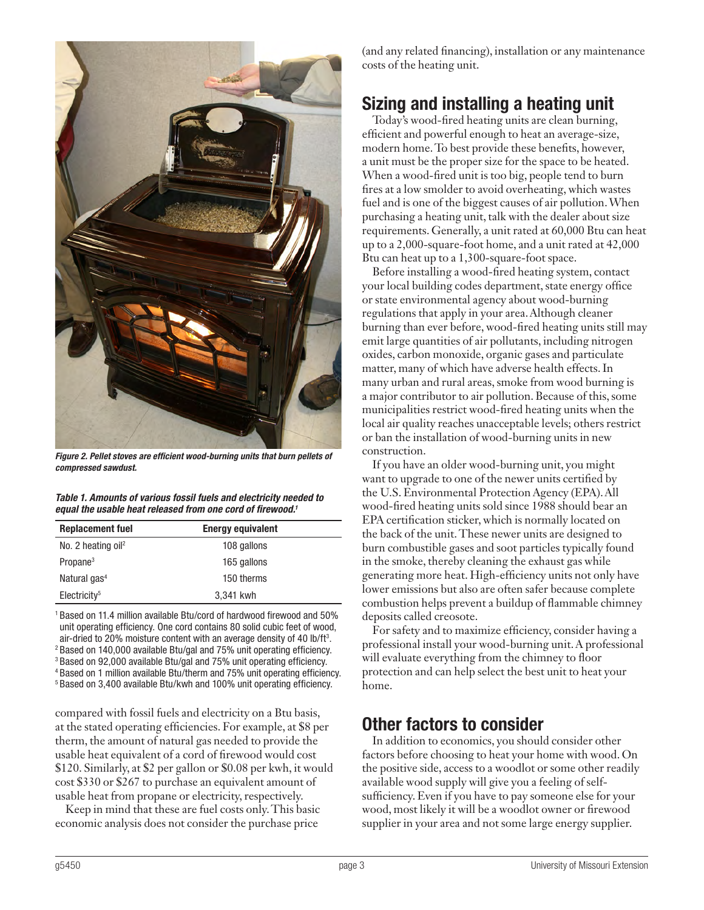

*Figure 2. Pellet stoves are efficient wood-burning units that burn pellets of compressed sawdust.*

*Table 1. Amounts of various fossil fuels and electricity needed to equal the usable heat released from one cord of firewood.1*

| <b>Replacement fuel</b>        | <b>Energy equivalent</b> |
|--------------------------------|--------------------------|
| No. 2 heating oil <sup>2</sup> | 108 gallons              |
| Propane <sup>3</sup>           | 165 gallons              |
| Natural gas <sup>4</sup>       | 150 therms               |
| Electricity <sup>5</sup>       | 3,341 kwh                |

<sup>1</sup> Based on 11.4 million available Btu/cord of hardwood firewood and 50% unit operating efficiency. One cord contains 80 solid cubic feet of wood, air-dried to 20% moisture content with an average density of 40 lb/ft<sup>3</sup>. <sup>2</sup> Based on 140,000 available Btu/gal and 75% unit operating efficiency. <sup>3</sup> Based on 92,000 available Btu/gal and 75% unit operating efficiency. <sup>4</sup> Based on 1 million available Btu/therm and 75% unit operating efficiency. <sup>5</sup> Based on 3,400 available Btu/kwh and 100% unit operating efficiency.

compared with fossil fuels and electricity on a Btu basis, at the stated operating efficiencies. For example, at \$8 per therm, the amount of natural gas needed to provide the usable heat equivalent of a cord of firewood would cost \$120. Similarly, at \$2 per gallon or \$0.08 per kwh, it would cost \$330 or \$267 to purchase an equivalent amount of usable heat from propane or electricity, respectively.

Keep in mind that these are fuel costs only. This basic economic analysis does not consider the purchase price

(and any related financing), installation or any maintenance costs of the heating unit.

## Sizing and installing a heating unit

Today's wood-fired heating units are clean burning, efficient and powerful enough to heat an average-size, modern home. To best provide these benefits, however, a unit must be the proper size for the space to be heated. When a wood-fired unit is too big, people tend to burn fires at a low smolder to avoid overheating, which wastes fuel and is one of the biggest causes of air pollution. When purchasing a heating unit, talk with the dealer about size requirements. Generally, a unit rated at 60,000 Btu can heat up to a 2,000-square-foot home, and a unit rated at 42,000 Btu can heat up to a 1,300-square-foot space.

Before installing a wood-fired heating system, contact your local building codes department, state energy office or state environmental agency about wood-burning regulations that apply in your area. Although cleaner burning than ever before, wood-fired heating units still may emit large quantities of air pollutants, including nitrogen oxides, carbon monoxide, organic gases and particulate matter, many of which have adverse health effects. In many urban and rural areas, smoke from wood burning is a major contributor to air pollution. Because of this, some municipalities restrict wood-fired heating units when the local air quality reaches unacceptable levels; others restrict or ban the installation of wood-burning units in new construction.

If you have an older wood-burning unit, you might want to upgrade to one of the newer units certified by the U.S. Environmental Protection Agency (EPA). All wood-fired heating units sold since 1988 should bear an EPA certification sticker, which is normally located on the back of the unit. These newer units are designed to burn combustible gases and soot particles typically found in the smoke, thereby cleaning the exhaust gas while generating more heat. High-efficiency units not only have lower emissions but also are often safer because complete combustion helps prevent a buildup of flammable chimney deposits called creosote.

For safety and to maximize efficiency, consider having a professional install your wood-burning unit. A professional will evaluate everything from the chimney to floor protection and can help select the best unit to heat your home.

## Other factors to consider

In addition to economics, you should consider other factors before choosing to heat your home with wood. On the positive side, access to a woodlot or some other readily available wood supply will give you a feeling of selfsufficiency. Even if you have to pay someone else for your wood, most likely it will be a woodlot owner or firewood supplier in your area and not some large energy supplier.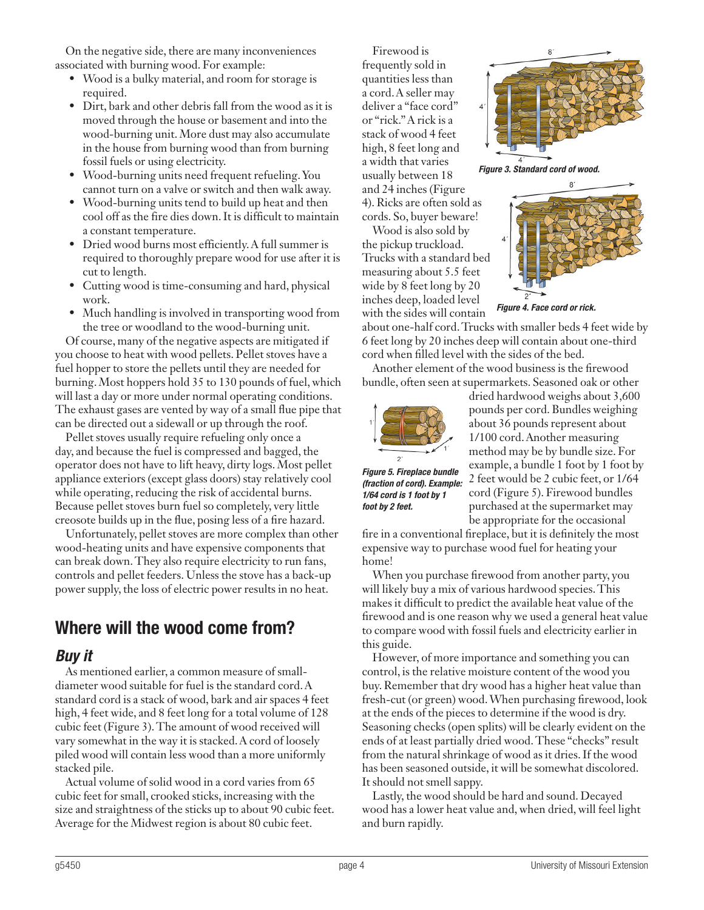On the negative side, there are many inconveniences associated with burning wood. For example:

- Wood is a bulky material, and room for storage is required.
- Dirt, bark and other debris fall from the wood as it is moved through the house or basement and into the wood-burning unit. More dust may also accumulate in the house from burning wood than from burning fossil fuels or using electricity.
- Wood-burning units need frequent refueling. You cannot turn on a valve or switch and then walk away.
- Wood-burning units tend to build up heat and then cool off as the fire dies down. It is difficult to maintain a constant temperature.
- Dried wood burns most efficiently. A full summer is required to thoroughly prepare wood for use after it is cut to length.
- Cutting wood is time-consuming and hard, physical work.
- Much handling is involved in transporting wood from the tree or woodland to the wood-burning unit.

Of course, many of the negative aspects are mitigated if you choose to heat with wood pellets. Pellet stoves have a fuel hopper to store the pellets until they are needed for burning. Most hoppers hold 35 to 130 pounds of fuel, which will last a day or more under normal operating conditions. The exhaust gases are vented by way of a small flue pipe that can be directed out a sidewall or up through the roof.

Pellet stoves usually require refueling only once a day, and because the fuel is compressed and bagged, the operator does not have to lift heavy, dirty logs. Most pellet appliance exteriors (except glass doors) stay relatively cool while operating, reducing the risk of accidental burns. Because pellet stoves burn fuel so completely, very little creosote builds up in the flue, posing less of a fire hazard.

Unfortunately, pellet stoves are more complex than other wood-heating units and have expensive components that can break down. They also require electricity to run fans, controls and pellet feeders. Unless the stove has a back-up power supply, the loss of electric power results in no heat.

## Where will the wood come from?

#### *Buy it*

As mentioned earlier, a common measure of smalldiameter wood suitable for fuel is the standard cord. A standard cord is a stack of wood, bark and air spaces 4 feet high, 4 feet wide, and 8 feet long for a total volume of 128 cubic feet (Figure 3). The amount of wood received will vary somewhat in the way it is stacked. A cord of loosely piled wood will contain less wood than a more uniformly stacked pile.

Actual volume of solid wood in a cord varies from 65 cubic feet for small, crooked sticks, increasing with the size and straightness of the sticks up to about 90 cubic feet. Average for the Midwest region is about 80 cubic feet.

Firewood is frequently sold in quantities less than a cord. A seller may deliver a "face cord" or "rick." A rick is a stack of wood 4 feet high, 8 feet long and a width that varies usually between 18 and 24 inches (Figure 4). Ricks are often sold as cords. So, buyer beware!

Wood is also sold by the pickup truckload. Trucks with a standard bed measuring about 5.5 feet wide by 8 feet long by 20 inches deep, loaded level with the sides will contain



*Figure 3. Standard cord of wood.*



*Figure 4. Face cord or rick.* 

about one-half cord. Trucks with smaller beds 4 feet wide by 6 feet long by 20 inches deep will contain about one-third cord when filled level with the sides of the bed.

Another element of the wood business is the firewood bundle, often seen at supermarkets. Seasoned oak or other



dried hardwood weighs about 3,600 pounds per cord. Bundles weighing about 36 pounds represent about 1/100 cord. Another measuring method may be by bundle size. For example, a bundle 1 foot by 1 foot by 2 feet would be 2 cubic feet, or 1/64 cord (Figure 5). Firewood bundles purchased at the supermarket may be appropriate for the occasional

*Figure 5. Fireplace bundle (fraction of cord). Example: 1/64 cord is 1 foot by 1 foot by 2 feet.*

fire in a conventional fireplace, but it is definitely the most expensive way to purchase wood fuel for heating your home!

When you purchase firewood from another party, you will likely buy a mix of various hardwood species. This makes it difficult to predict the available heat value of the firewood and is one reason why we used a general heat value to compare wood with fossil fuels and electricity earlier in this guide.

However, of more importance and something you can control, is the relative moisture content of the wood you buy. Remember that dry wood has a higher heat value than fresh-cut (or green) wood. When purchasing firewood, look at the ends of the pieces to determine if the wood is dry. Seasoning checks (open splits) will be clearly evident on the ends of at least partially dried wood. These "checks" result from the natural shrinkage of wood as it dries. If the wood has been seasoned outside, it will be somewhat discolored. It should not smell sappy.

Lastly, the wood should be hard and sound. Decayed wood has a lower heat value and, when dried, will feel light and burn rapidly.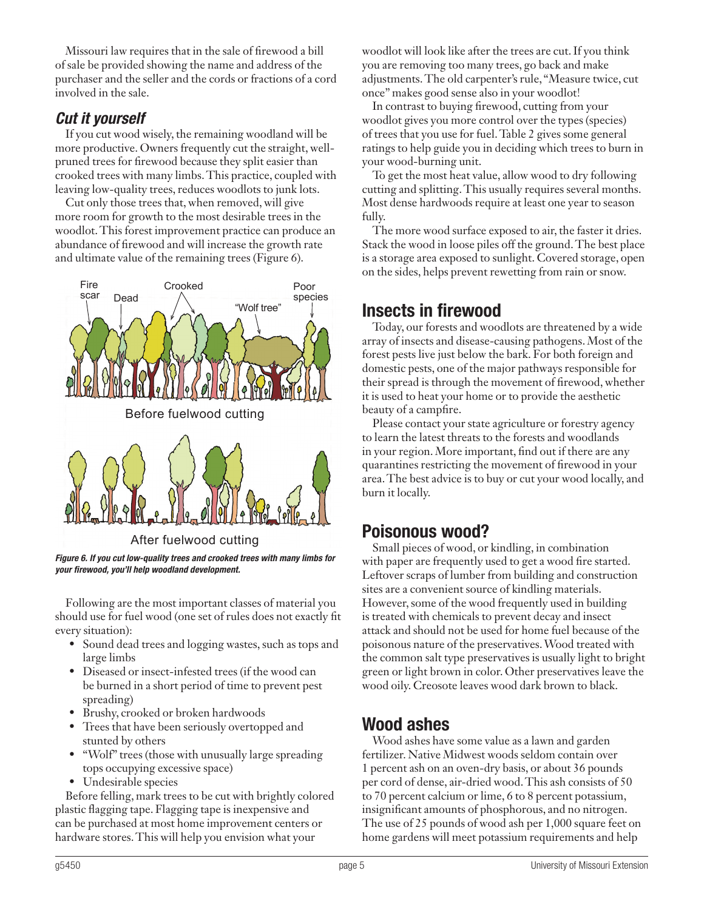Missouri law requires that in the sale of firewood a bill of sale be provided showing the name and address of the purchaser and the seller and the cords or fractions of a cord involved in the sale.

### *Cut it yourself*

If you cut wood wisely, the remaining woodland will be more productive. Owners frequently cut the straight, wellpruned trees for firewood because they split easier than crooked trees with many limbs. This practice, coupled with leaving low-quality trees, reduces woodlots to junk lots.

Cut only those trees that, when removed, will give more room for growth to the most desirable trees in the woodlot. This forest improvement practice can produce an abundance of firewood and will increase the growth rate and ultimate value of the remaining trees (Figure 6).



*Figure 6. If you cut low-quality trees and crooked trees with many limbs for your firewood, you'll help woodland development.*

Following are the most important classes of material you should use for fuel wood (one set of rules does not exactly fit every situation):

- Sound dead trees and logging wastes, such as tops and large limbs
- Diseased or insect-infested trees (if the wood can be burned in a short period of time to prevent pest spreading)
- Brushy, crooked or broken hardwoods
- Trees that have been seriously overtopped and stunted by others
- "Wolf" trees (those with unusually large spreading tops occupying excessive space)
- Undesirable species

Before felling, mark trees to be cut with brightly colored plastic flagging tape. Flagging tape is inexpensive and can be purchased at most home improvement centers or hardware stores. This will help you envision what your

woodlot will look like after the trees are cut. If you think you are removing too many trees, go back and make adjustments. The old carpenter's rule, "Measure twice, cut once" makes good sense also in your woodlot!

In contrast to buying firewood, cutting from your woodlot gives you more control over the types (species) of trees that you use for fuel. Table 2 gives some general ratings to help guide you in deciding which trees to burn in your wood-burning unit.

To get the most heat value, allow wood to dry following cutting and splitting. This usually requires several months. Most dense hardwoods require at least one year to season fully.

The more wood surface exposed to air, the faster it dries. Stack the wood in loose piles off the ground. The best place is a storage area exposed to sunlight. Covered storage, open on the sides, helps prevent rewetting from rain or snow.

## Insects in firewood

Today, our forests and woodlots are threatened by a wide array of insects and disease-causing pathogens. Most of the forest pests live just below the bark. For both foreign and domestic pests, one of the major pathways responsible for their spread is through the movement of firewood, whether it is used to heat your home or to provide the aesthetic beauty of a campfire.

Please contact your state agriculture or forestry agency to learn the latest threats to the forests and woodlands in your region. More important, find out if there are any quarantines restricting the movement of firewood in your area. The best advice is to buy or cut your wood locally, and burn it locally.

## Poisonous wood?

Small pieces of wood, or kindling, in combination with paper are frequently used to get a wood fire started. Leftover scraps of lumber from building and construction sites are a convenient source of kindling materials. However, some of the wood frequently used in building is treated with chemicals to prevent decay and insect attack and should not be used for home fuel because of the poisonous nature of the preservatives. Wood treated with the common salt type preservatives is usually light to bright green or light brown in color. Other preservatives leave the wood oily. Creosote leaves wood dark brown to black.

## Wood ashes

Wood ashes have some value as a lawn and garden fertilizer. Native Midwest woods seldom contain over 1 percent ash on an oven-dry basis, or about 36 pounds per cord of dense, air-dried wood. This ash consists of 50 to 70 percent calcium or lime, 6 to 8 percent potassium, insignificant amounts of phosphorous, and no nitrogen. The use of 25 pounds of wood ash per 1,000 square feet on home gardens will meet potassium requirements and help